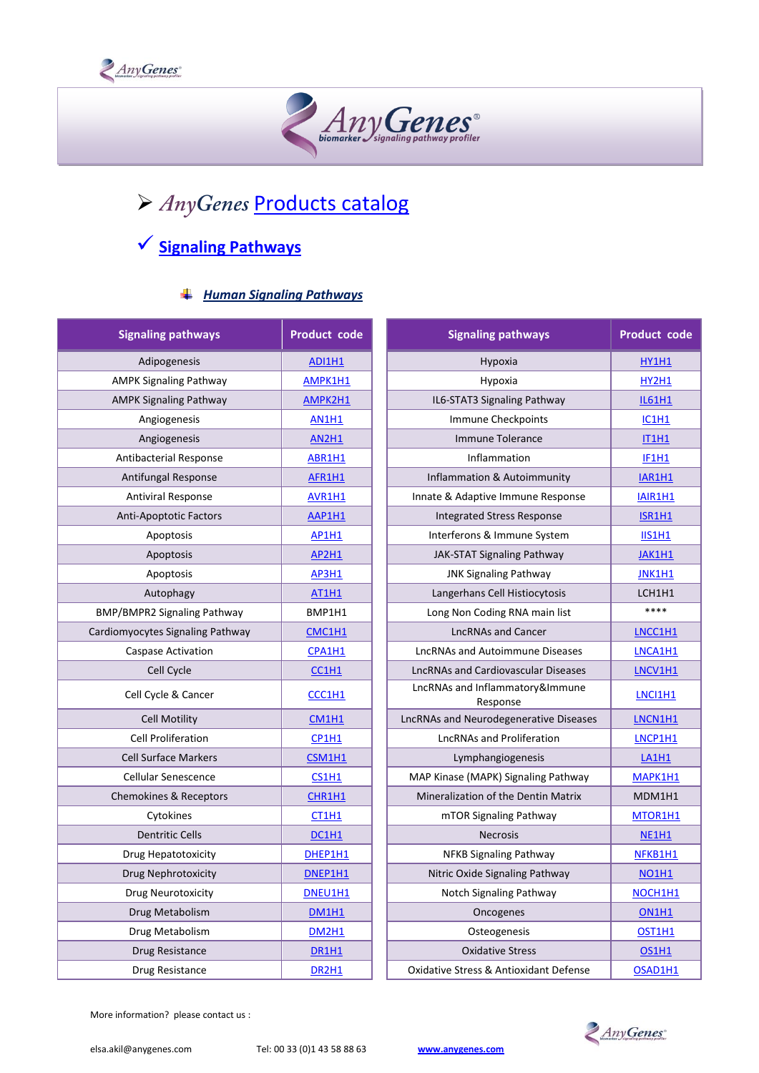



# > AnyGenes [Products](https://www.anygenes.com/home/products) catalog

# **[Signaling Pathways](https://www.anygenes.com/home/products/signaling-pathways)**

#### *Human Signaling Pathways*

| <b>Signaling pathways</b>        | <b>Product code</b>            | <b>Signaling pathways</b>                   | <b>Product code</b> |
|----------------------------------|--------------------------------|---------------------------------------------|---------------------|
| Adipogenesis                     | <b>ADI1H1</b>                  | Hypoxia                                     | HY1H1               |
| <b>AMPK Signaling Pathway</b>    | AMPK1H1                        | Hypoxia                                     | <b>HY2H1</b>        |
| <b>AMPK Signaling Pathway</b>    | AMPK2H1                        | IL6-STAT3 Signaling Pathway                 | <b>IL61H1</b>       |
| Angiogenesis                     | <b>AN1H1</b>                   | Immune Checkpoints                          | <b>IC1H1</b>        |
| Angiogenesis                     | <b>AN2H1</b>                   | Immune Tolerance                            | <b>IT1H1</b>        |
| <b>Antibacterial Response</b>    | ABR1H1                         | Inflammation                                | <b>IF1H1</b>        |
| Antifungal Response              | AFR1H1                         | Inflammation & Autoimmunity                 | <b>IAR1H1</b>       |
| <b>Antiviral Response</b>        | AVR1H1                         | Innate & Adaptive Immune Response           | IAIR1H1             |
| <b>Anti-Apoptotic Factors</b>    | AAP1H1                         | Integrated Stress Response                  | ISR1H1              |
| Apoptosis                        | <b>AP1H1</b>                   | Interferons & Immune System                 | <b>IIS1H1</b>       |
| Apoptosis                        | <b>AP2H1</b>                   | JAK-STAT Signaling Pathway                  | <b>JAK1H1</b>       |
| Apoptosis                        | AP3H1                          | <b>JNK Signaling Pathway</b>                | <b>JNK1H1</b>       |
| Autophagy                        | <b>AT1H1</b>                   | Langerhans Cell Histiocytosis               | LCH1H1              |
| BMP/BMPR2 Signaling Pathway      | BMP1H1                         | Long Non Coding RNA main list               | ****                |
| Cardiomyocytes Signaling Pathway | CMC1H1                         | <b>LncRNAs and Cancer</b>                   | LNCC1H1             |
| Caspase Activation               | CPA1H1                         | <b>LncRNAs and Autoimmune Diseases</b>      | LNCA1H1             |
| Cell Cycle                       | CCH1                           | <b>LncRNAs and Cardiovascular Diseases</b>  | LNCV1H1             |
| Cell Cycle & Cancer              | CCC1H1                         | LncRNAs and Inflammatory&Immune<br>Response | LNC11H1             |
| <b>Cell Motility</b>             | CM1H1                          | LncRNAs and Neurodegenerative Diseases      | LNCN1H1             |
| <b>Cell Proliferation</b>        | CP1H1                          | <b>LncRNAs and Proliferation</b>            | LNCP1H1             |
| <b>Cell Surface Markers</b>      | CSM1H1                         | Lymphangiogenesis                           | LA1H1               |
| <b>Cellular Senescence</b>       | <b>CS1H1</b>                   | MAP Kinase (MAPK) Signaling Pathway         | MAPK1H1             |
| Chemokines & Receptors           | CHR1H1                         | Mineralization of the Dentin Matrix         | MDM1H1              |
| Cytokines                        | CT1H1                          | mTOR Signaling Pathway                      | MTOR1H1             |
| <b>Dentritic Cells</b>           | DC1H1                          | <b>Necrosis</b>                             | <b>NE1H1</b>        |
| Drug Hepatotoxicity              | DHEP1H1                        | NFKB Signaling Pathway                      | NFKB1H1             |
| Drug Nephrotoxicity              | DNEP1H1                        | Nitric Oxide Signaling Pathway              | <b>NO1H1</b>        |
| <b>Drug Neurotoxicity</b>        | DNEU1H1                        | Notch Signaling Pathway                     | NOCH1H1             |
| Drug Metabolism                  | <b>DM1H1</b>                   | Oncogenes                                   | <b>ON1H1</b>        |
| Drug Metabolism                  | <b>DM2H1</b>                   | Osteogenesis                                | OST1H1              |
| Drug Resistance                  | DR1H1                          | <b>Oxidative Stress</b>                     | <b>OS1H1</b>        |
| Drug Resistance                  | DR <sub>2</sub> H <sub>1</sub> | Oxidative Stress & Antioxidant Defense      | OSAD1H1             |

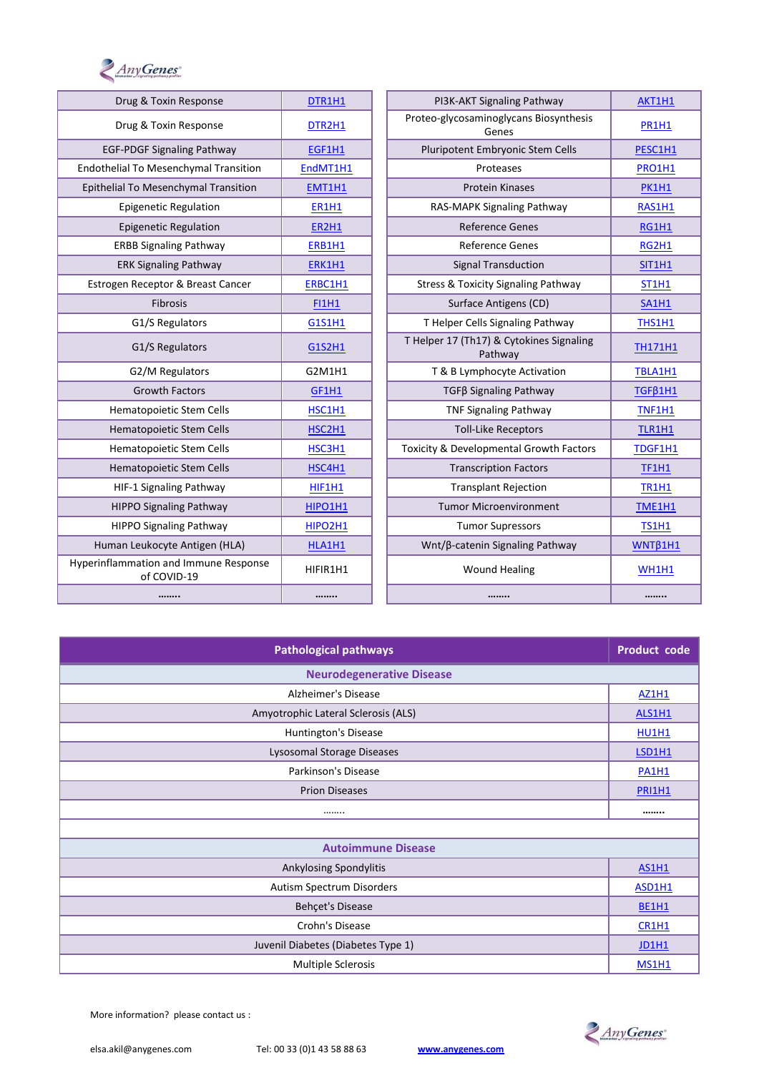

| Drug & Toxin Response                                | DTR1H1         | PI3K-AKT Signaling Pathway                          | AKT1H1         |
|------------------------------------------------------|----------------|-----------------------------------------------------|----------------|
| Drug & Toxin Response                                | DTR2H1         | Proteo-glycosaminoglycans Biosynthesis<br>Genes     | <b>PR1H1</b>   |
| <b>EGF-PDGF Signaling Pathway</b>                    | EGF1H1         | Pluripotent Embryonic Stem Cells                    | PESC1H1        |
| Endothelial To Mesenchymal Transition                | EndMT1H1       | Proteases                                           | PRO1H1         |
| Epithelial To Mesenchymal Transition                 | EMT1H1         | <b>Protein Kinases</b>                              | <b>PK1H1</b>   |
| <b>Epigenetic Regulation</b>                         | <b>ER1H1</b>   | RAS-MAPK Signaling Pathway                          | RAS1H1         |
| <b>Epigenetic Regulation</b>                         | <b>ER2H1</b>   | <b>Reference Genes</b>                              | <b>RG1H1</b>   |
| <b>ERBB Signaling Pathway</b>                        | ERB1H1         | <b>Reference Genes</b>                              | <b>RG2H1</b>   |
| <b>ERK Signaling Pathway</b>                         | ERK1H1         | <b>Signal Transduction</b>                          | <b>SIT1H1</b>  |
| Estrogen Receptor & Breast Cancer                    | ERBC1H1        | <b>Stress &amp; Toxicity Signaling Pathway</b>      | <b>ST1H1</b>   |
| Fibrosis                                             | <b>FI1H1</b>   | Surface Antigens (CD)                               | <b>SA1H1</b>   |
| G1/S Regulators                                      | G1S1H1         | T Helper Cells Signaling Pathway                    | THS1H1         |
| G1/S Regulators                                      | G1S2H1         | T Helper 17 (Th17) & Cytokines Signaling<br>Pathway | <b>TH171H1</b> |
| G2/M Regulators                                      | G2M1H1         | T & B Lymphocyte Activation                         | TBLA1H1        |
| <b>Growth Factors</b>                                | GF1H1          | TGFß Signaling Pathway                              | $TGF\beta 1H1$ |
| Hematopoietic Stem Cells                             | HSC1H1         | <b>TNF Signaling Pathway</b>                        | <b>TNF1H1</b>  |
| Hematopoietic Stem Cells                             | HSC2H1         | <b>Toll-Like Receptors</b>                          | TLR1H1         |
| Hematopoietic Stem Cells                             | HSC3H1         | Toxicity & Developmental Growth Factors             | TDGF1H1        |
| <b>Hematopoietic Stem Cells</b>                      | HSC4H1         | <b>Transcription Factors</b>                        | <b>TF1H1</b>   |
| HIF-1 Signaling Pathway                              | HIF1H1         | <b>Transplant Rejection</b>                         | <b>TR1H1</b>   |
| <b>HIPPO Signaling Pathway</b>                       | <b>HIPO1H1</b> | <b>Tumor Microenvironment</b>                       | <b>TME1H1</b>  |
| <b>HIPPO Signaling Pathway</b>                       | HIPO2H1        | <b>Tumor Supressors</b>                             | <b>TS1H1</b>   |
| Human Leukocyte Antigen (HLA)                        | HLA1H1         | Wnt/β-catenin Signaling Pathway                     | WNTB1H1        |
| Hyperinflammation and Immune Response<br>of COVID-19 | HIFIR1H1       | <b>Wound Healing</b>                                | <b>WH1H1</b>   |
|                                                      |                |                                                     |                |

| <b>Pathological pathways</b>        |               |  |  |  |
|-------------------------------------|---------------|--|--|--|
| <b>Neurodegenerative Disease</b>    |               |  |  |  |
| Alzheimer's Disease                 | <b>AZ1H1</b>  |  |  |  |
| Amyotrophic Lateral Sclerosis (ALS) | <b>ALS1H1</b> |  |  |  |
| Huntington's Disease                | <b>HU1H1</b>  |  |  |  |
| Lysosomal Storage Diseases          | <b>LSD1H1</b> |  |  |  |
| Parkinson's Disease                 | <b>PA1H1</b>  |  |  |  |
| <b>Prion Diseases</b>               |               |  |  |  |
|                                     |               |  |  |  |
|                                     |               |  |  |  |
| <b>Autoimmune Disease</b>           |               |  |  |  |
| Ankylosing Spondylitis              | <b>AS1H1</b>  |  |  |  |
| Autism Spectrum Disorders           |               |  |  |  |
| Behçet's Disease                    |               |  |  |  |
| Crohn's Disease                     |               |  |  |  |
| Juvenil Diabetes (Diabetes Type 1)  |               |  |  |  |
| <b>Multiple Sclerosis</b>           |               |  |  |  |

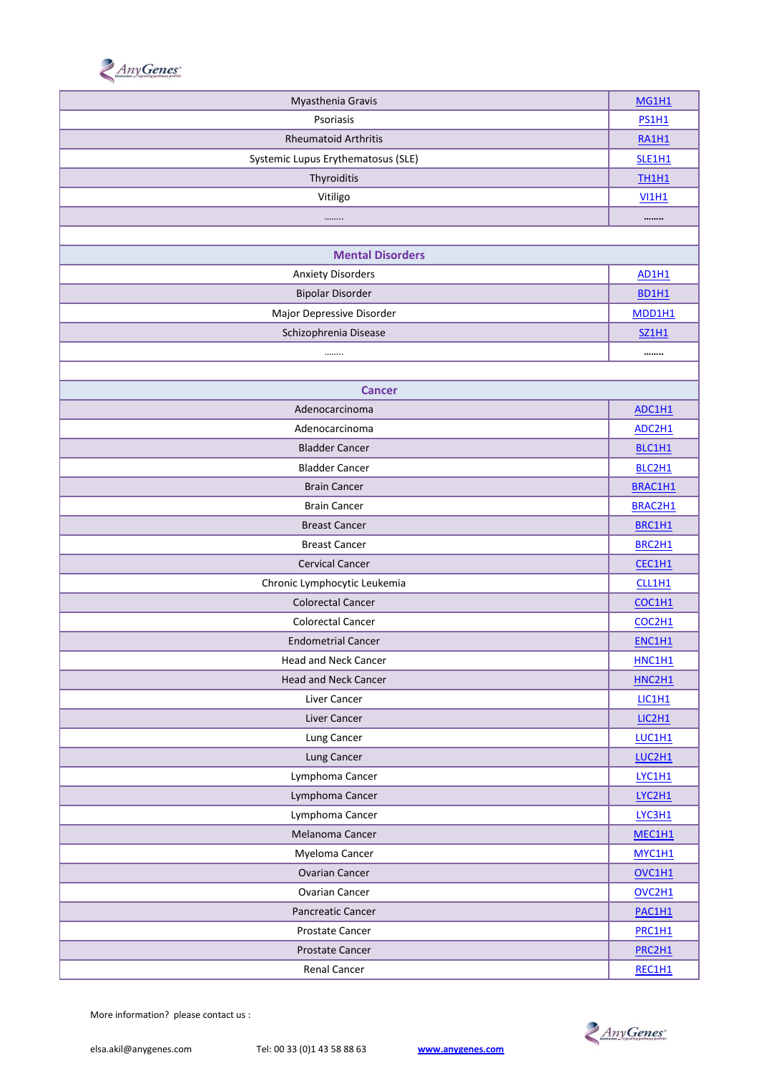

| Myasthenia Gravis                  |                                 |  |
|------------------------------------|---------------------------------|--|
| Psoriasis                          |                                 |  |
| <b>Rheumatoid Arthritis</b>        |                                 |  |
| Systemic Lupus Erythematosus (SLE) | <b>SLE1H1</b>                   |  |
| Thyroiditis                        | <b>TH1H1</b>                    |  |
| Vitiligo                           | <b>VI1H1</b>                    |  |
|                                    |                                 |  |
|                                    |                                 |  |
| <b>Mental Disorders</b>            |                                 |  |
| <b>Anxiety Disorders</b>           | <b>AD1H1</b>                    |  |
| <b>Bipolar Disorder</b>            | <b>BD1H1</b>                    |  |
| Major Depressive Disorder          | MDD1H1                          |  |
| Schizophrenia Disease              | <b>SZ1H1</b>                    |  |
|                                    |                                 |  |
|                                    |                                 |  |
| <b>Cancer</b>                      |                                 |  |
| Adenocarcinoma                     | ADC1H1                          |  |
| Adenocarcinoma                     | ADC2H1                          |  |
| <b>Bladder Cancer</b>              | BLC1H1                          |  |
| <b>Bladder Cancer</b>              | BLC2H1                          |  |
| <b>Brain Cancer</b>                | BRAC1H1                         |  |
| <b>Brain Cancer</b>                | BRAC2H1                         |  |
| <b>Breast Cancer</b>               | BRC1H1                          |  |
| <b>Breast Cancer</b>               | BRC2H1                          |  |
| <b>Cervical Cancer</b>             | CEC1H1                          |  |
| Chronic Lymphocytic Leukemia       | CLL1H1                          |  |
| <b>Colorectal Cancer</b>           | COC1H1                          |  |
| <b>Colorectal Cancer</b>           | COC2H1                          |  |
| <b>Endometrial Cancer</b>          | ENC1H1                          |  |
| Head and Neck Cancer               | <b>HNC1H1</b>                   |  |
| Head and Neck Cancer               | HNC2H1                          |  |
| Liver Cancer                       | LIC1H1                          |  |
| Liver Cancer                       | LIC2H1                          |  |
| Lung Cancer                        | LUC1H1                          |  |
| Lung Cancer                        | LUC2H1                          |  |
| Lymphoma Cancer                    | LYC1H1                          |  |
| Lymphoma Cancer                    | LYC2H1                          |  |
| Lymphoma Cancer                    | LYC3H1                          |  |
| Melanoma Cancer                    | MEC1H1                          |  |
| Myeloma Cancer                     | MYC1H1                          |  |
| <b>Ovarian Cancer</b>              | OVC1H1                          |  |
| <b>Ovarian Cancer</b>              | OVC <sub>2</sub> H <sub>1</sub> |  |
| Pancreatic Cancer                  | PAC1H1                          |  |
| Prostate Cancer                    | PRC1H1                          |  |
| Prostate Cancer                    | PRC2H1                          |  |
| Renal Cancer                       | REC1H1                          |  |
|                                    |                                 |  |

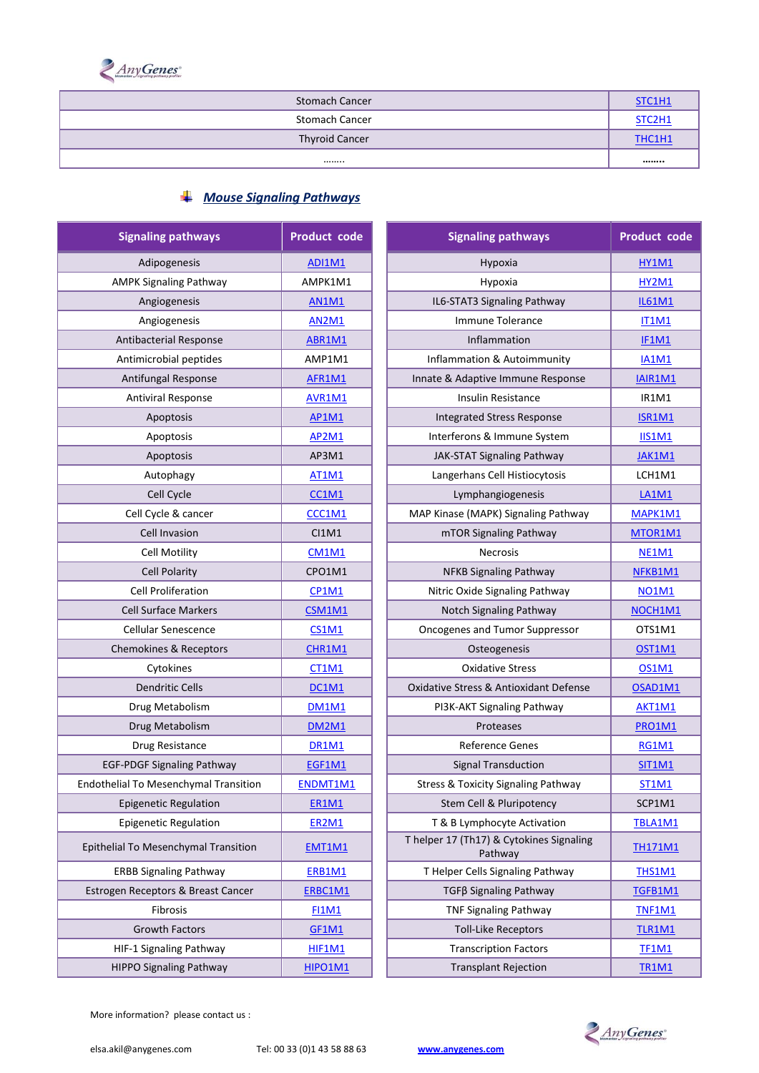

| <b>Stomach Cancer</b> | STC1H1 |
|-----------------------|--------|
| <b>Stomach Cancer</b> | STC2H1 |
| <b>Thyroid Cancer</b> | THC1H1 |
|                       |        |

### *Mouse Signaling Pathways*

| <b>Signaling pathways</b>             | <b>Product code</b> | <b>Signaling pathways</b>                           | <b>Product code</b> |
|---------------------------------------|---------------------|-----------------------------------------------------|---------------------|
| Adipogenesis                          | <b>ADI1M1</b>       | Hypoxia                                             | HY1M1               |
| <b>AMPK Signaling Pathway</b>         | AMPK1M1             | Hypoxia                                             | <b>HY2M1</b>        |
| Angiogenesis                          | <b>AN1M1</b>        | IL6-STAT3 Signaling Pathway                         | <b>IL61M1</b>       |
| Angiogenesis                          | <b>AN2M1</b>        | Immune Tolerance                                    | <b>IT1M1</b>        |
| <b>Antibacterial Response</b>         | ABR1M1              | Inflammation                                        | IF1M1               |
| Antimicrobial peptides                | AMP1M1              | Inflammation & Autoimmunity                         | <b>IA1M1</b>        |
| Antifungal Response                   | AFR1M1              | Innate & Adaptive Immune Response                   | IAIR1M1             |
| Antiviral Response                    | AVR1M1              | Insulin Resistance                                  | IR1M1               |
| Apoptosis                             | <b>AP1M1</b>        | <b>Integrated Stress Response</b>                   | <b>ISR1M1</b>       |
| Apoptosis                             | <b>AP2M1</b>        | Interferons & Immune System                         | IIS1M1              |
| Apoptosis                             | AP3M1               | JAK-STAT Signaling Pathway                          | JAK1M1              |
| Autophagy                             | <b>AT1M1</b>        | Langerhans Cell Histiocytosis                       | LCH1M1              |
| Cell Cycle                            | CC1M1               | Lymphangiogenesis                                   | <b>LA1M1</b>        |
| Cell Cycle & cancer                   | CCC1M1              | MAP Kinase (MAPK) Signaling Pathway                 | MAPK1M1             |
| <b>Cell Invasion</b>                  | CI1M1               | mTOR Signaling Pathway                              | MTOR1M1             |
| <b>Cell Motility</b>                  | <b>CM1M1</b>        | Necrosis                                            | <b>NE1M1</b>        |
| <b>Cell Polarity</b>                  | CPO1M1              | NFKB Signaling Pathway                              | NFKB1M1             |
| <b>Cell Proliferation</b>             | <b>CP1M1</b>        | Nitric Oxide Signaling Pathway                      | <b>NO1M1</b>        |
| <b>Cell Surface Markers</b>           | CSM1M1              | Notch Signaling Pathway                             | NOCH1M1             |
| <b>Cellular Senescence</b>            | CS1M1               | Oncogenes and Tumor Suppressor                      | OTS1M1              |
| Chemokines & Receptors                | CHR1M1              | Osteogenesis                                        | OST1M1              |
| Cytokines                             | <b>CT1M1</b>        | <b>Oxidative Stress</b>                             | <b>OS1M1</b>        |
| <b>Dendritic Cells</b>                | DC1M1               | Oxidative Stress & Antioxidant Defense              | OSAD1M1             |
| Drug Metabolism                       | <b>DM1M1</b>        | PI3K-AKT Signaling Pathway                          | AKT1M1              |
| Drug Metabolism                       | <b>DM2M1</b>        | Proteases                                           | <b>PRO1M1</b>       |
| Drug Resistance                       | <b>DR1M1</b>        | <b>Reference Genes</b>                              | <b>RG1M1</b>        |
| <b>EGF-PDGF Signaling Pathway</b>     | EGF1M1              | <b>Signal Transduction</b>                          | <b>SIT1M1</b>       |
| Endothelial To Mesenchymal Transition | ENDMT1M1            | <b>Stress &amp; Toxicity Signaling Pathway</b>      | <b>ST1M1</b>        |
| <b>Epigenetic Regulation</b>          | <b>ER1M1</b>        | Stem Cell & Pluripotency                            | SCP1M1              |
| <b>Epigenetic Regulation</b>          | ER2M1               | T & B Lymphocyte Activation                         | TBLA1M1             |
| Epithelial To Mesenchymal Transition  | EMT1M1              | T helper 17 (Th17) & Cytokines Signaling<br>Pathway | <b>TH171M1</b>      |
| <b>ERBB Signaling Pathway</b>         | <b>ERB1M1</b>       | T Helper Cells Signaling Pathway                    | <b>THS1M1</b>       |
| Estrogen Receptors & Breast Cancer    | ERBC1M1             | TGFβ Signaling Pathway                              | TGFB1M1             |
| Fibrosis                              | <b>FI1M1</b>        | <b>TNF Signaling Pathway</b>                        | <b>TNF1M1</b>       |
| Growth Factors                        | GF1M1               | <b>Toll-Like Receptors</b>                          | TLR1M1              |
| HIF-1 Signaling Pathway               | HIF1M1              | <b>Transcription Factors</b>                        | <b>TF1M1</b>        |
| <b>HIPPO Signaling Pathway</b>        | HIPO1M1             | <b>Transplant Rejection</b>                         | <b>TR1M1</b>        |
|                                       |                     |                                                     |                     |

| naling pathways           | <b>Product code</b> | <b>Signaling pathways</b>                           | <b>Product code</b> |
|---------------------------|---------------------|-----------------------------------------------------|---------------------|
| Adipogenesis              | <b>ADI1M1</b>       | Hypoxia                                             | HY1M1               |
| K Signaling Pathway       | AMPK1M1             | Hypoxia                                             | <b>HY2M1</b>        |
| Angiogenesis              | <b>AN1M1</b>        | IL6-STAT3 Signaling Pathway                         | <b>IL61M1</b>       |
| Angiogenesis              | <b>AN2M1</b>        | Immune Tolerance                                    | <b>IT1M1</b>        |
| bacterial Response        | ABR1M1              | Inflammation                                        | IF1M1               |
| microbial peptides        | AMP1M1              | Inflammation & Autoimmunity                         | <b>IA1M1</b>        |
| tifungal Response         | AFR1M1              | Innate & Adaptive Immune Response                   | IAIR1M1             |
| ntiviral Response         | AVR1M1              | Insulin Resistance                                  | IR1M1               |
| Apoptosis                 | <b>AP1M1</b>        | <b>Integrated Stress Response</b>                   | <b>ISR1M1</b>       |
| Apoptosis                 | <b>AP2M1</b>        | Interferons & Immune System                         | <b>IIS1M1</b>       |
| Apoptosis                 | AP3M1               | JAK-STAT Signaling Pathway                          | JAK1M1              |
| Autophagy                 | <b>AT1M1</b>        | Langerhans Cell Histiocytosis                       | LCH1M1              |
| Cell Cycle                | CC1M1               | Lymphangiogenesis                                   | <b>LA1M1</b>        |
| Il Cycle & cancer         | CCC1M1              | MAP Kinase (MAPK) Signaling Pathway                 | MAPK1M1             |
| <b>Cell Invasion</b>      | C11M1               | mTOR Signaling Pathway                              | MTOR1M1             |
| <b>Cell Motility</b>      | <b>CM1M1</b>        | <b>Necrosis</b>                                     | <b>NE1M1</b>        |
| <b>Cell Polarity</b>      | CPO1M1              | <b>NFKB Signaling Pathway</b>                       | NFKB1M1             |
| ell Proliferation         | CP1M1               | Nitric Oxide Signaling Pathway                      | <b>NO1M1</b>        |
| <b>I Surface Markers</b>  | CSM1M1              | Notch Signaling Pathway                             | NOCH1M1             |
| <b>Ilular Senescence</b>  | <b>CS1M1</b>        | Oncogenes and Tumor Suppressor                      | OTS1M1              |
| okines & Receptors        | CHR1M1              | Osteogenesis                                        | <b>OST1M1</b>       |
| Cytokines                 | CT1M1               | <b>Oxidative Stress</b>                             | <b>OS1M1</b>        |
| <b>Dendritic Cells</b>    | <b>DC1M1</b>        | Oxidative Stress & Antioxidant Defense              | OSAD1M1             |
| rug Metabolism            | <b>DM1M1</b>        | PI3K-AKT Signaling Pathway                          | AKT1M1              |
| rug Metabolism            | <b>DM2M1</b>        | Proteases                                           | <b>PRO1M1</b>       |
| Orug Resistance           | DR1M1               | <b>Reference Genes</b>                              | <b>RG1M1</b>        |
| GF Signaling Pathway      | EGF1M1              | <b>Signal Transduction</b>                          | <b>SIT1M1</b>       |
| To Mesenchymal Transition | ENDMT1M1            | <b>Stress &amp; Toxicity Signaling Pathway</b>      | ST1M1               |
| genetic Regulation        | <b>ER1M1</b>        | Stem Cell & Pluripotency                            | SCP1M1              |
| genetic Regulation        | <b>ER2M1</b>        | T & B Lymphocyte Activation                         | TBLA1M1             |
| o Mesenchymal Transition  | EMT1M1              | T helper 17 (Th17) & Cytokines Signaling<br>Pathway | TH171M1             |
| <b>Signaling Pathway</b>  | ERB1M1              | T Helper Cells Signaling Pathway                    | <b>THS1M1</b>       |
| eceptors & Breast Cancer  | ERBC1M1             | TGFβ Signaling Pathway                              | TGFB1M1             |
| Fibrosis                  | <b>FI1M1</b>        | <b>TNF Signaling Pathway</b>                        | <b>TNF1M1</b>       |
| <b>Growth Factors</b>     | <b>GF1M1</b>        | <b>Toll-Like Receptors</b>                          | <b>TLR1M1</b>       |
| L Signaling Pathway       | HIF1M1              | <b>Transcription Factors</b>                        | <b>TF1M1</b>        |
| O Signaling Pathway       | HIPO1M1             | <b>Transplant Rejection</b>                         | <b>TR1M1</b>        |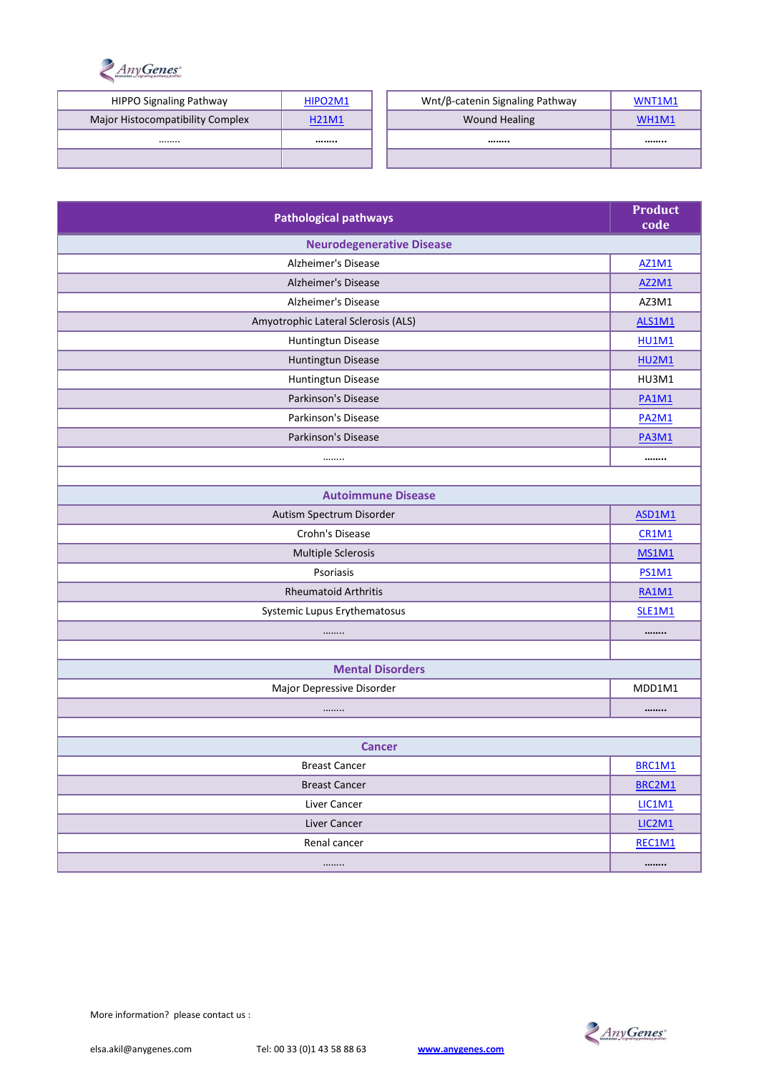

| <b>HIPPO Signaling Pathway</b>   | HIPO2M1      | Wnt/β-catenin Signaling Pathway | WNT1M1 |
|----------------------------------|--------------|---------------------------------|--------|
| Major Histocompatibility Complex | <b>H21M1</b> | <b>Wound Healing</b>            | WH1M1  |
|                                  |              |                                 |        |
|                                  |              |                                 |        |

| <b>Pathological pathways</b>        |              |  |
|-------------------------------------|--------------|--|
| <b>Neurodegenerative Disease</b>    |              |  |
| Alzheimer's Disease                 | <b>AZ1M1</b> |  |
| <b>Alzheimer's Disease</b>          | <b>AZ2M1</b> |  |
| Alzheimer's Disease                 | AZ3M1        |  |
| Amyotrophic Lateral Sclerosis (ALS) | ALS1M1       |  |
| Huntingtun Disease                  | <b>HU1M1</b> |  |
| Huntingtun Disease                  | <b>HU2M1</b> |  |
| Huntingtun Disease                  | HU3M1        |  |
| Parkinson's Disease                 | <b>PA1M1</b> |  |
| Parkinson's Disease                 | <b>PA2M1</b> |  |
| Parkinson's Disease                 | <b>PA3M1</b> |  |
|                                     |              |  |
|                                     |              |  |
| <b>Autoimmune Disease</b>           |              |  |
| Autism Spectrum Disorder            | ASD1M1       |  |
| Crohn's Disease                     | <b>CR1M1</b> |  |
| Multiple Sclerosis                  | <b>MS1M1</b> |  |
| Psoriasis                           | <b>PS1M1</b> |  |
| <b>Rheumatoid Arthritis</b>         | <b>RA1M1</b> |  |
| Systemic Lupus Erythematosus        | SLE1M1       |  |
|                                     |              |  |
|                                     |              |  |
| <b>Mental Disorders</b>             |              |  |
| Major Depressive Disorder           | MDD1M1       |  |
|                                     |              |  |
|                                     |              |  |
| <b>Cancer</b>                       |              |  |
| <b>Breast Cancer</b>                | BRC1M1       |  |
| <b>Breast Cancer</b>                |              |  |
| Liver Cancer                        |              |  |
| Liver Cancer                        |              |  |
| Renal cancer                        |              |  |
|                                     |              |  |

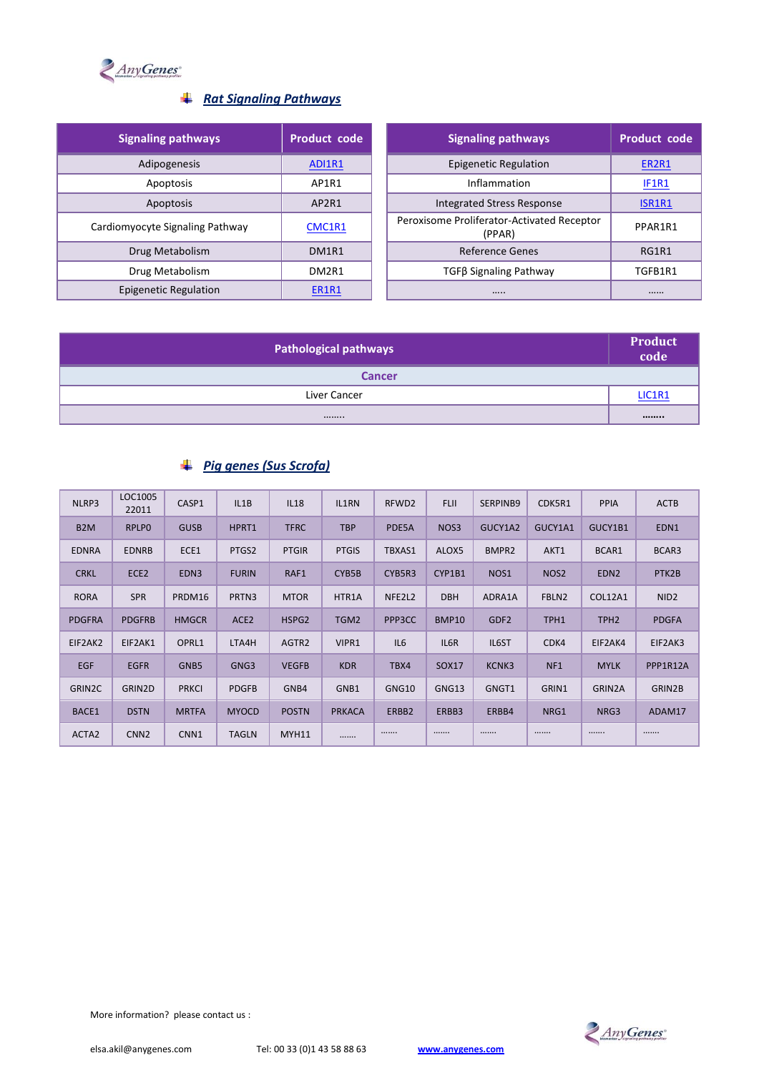

#### *Rat Signaling Pathways*

| <b>Signaling pathways</b>       | Product code                   | <b>Signaling pathways</b>                            |
|---------------------------------|--------------------------------|------------------------------------------------------|
| Adipogenesis                    | ADI1R1                         | <b>Epigenetic Regulation</b>                         |
| Apoptosis                       | AP1R1                          | Inflammation                                         |
| Apoptosis                       | AP2R1                          | Integrated Stress Response                           |
| Cardiomyocyte Signaling Pathway | CMC1R1                         | Peroxisome Proliferator-Activated Receptor<br>(PPAR) |
| Drug Metabolism                 | DM <sub>1</sub> R <sub>1</sub> | Reference Genes                                      |
| Drug Metabolism                 | DM2R1                          | TGFβ Signaling Pathway                               |
| Epigenetic Regulation           | ER1R1                          |                                                      |

| <b>Signaling pathways</b>    | Product code | <b>Signaling pathways</b>                            | <b>Product code</b> |
|------------------------------|--------------|------------------------------------------------------|---------------------|
| Adipogenesis                 | ADI1R1       | <b>Epigenetic Regulation</b>                         | ER2R1               |
| Apoptosis                    | AP1R1        | Inflammation                                         | IF1R1               |
| Apoptosis                    | AP2R1        | <b>Integrated Stress Response</b>                    | ISR1R1              |
| omyocyte Signaling Pathway   | CMC1R1       | Peroxisome Proliferator-Activated Receptor<br>(PPAR) | PPAR1R1             |
| Drug Metabolism              | DM1R1        | Reference Genes                                      | RG1R1               |
| Drug Metabolism              | DM2R1        | TGFß Signaling Pathway                               | TGFB1R1             |
| <b>Epigenetic Regulation</b> | <b>ER1R1</b> |                                                      |                     |

| <b>Pathological pathways</b> |        |  |
|------------------------------|--------|--|
| <b>Cancer</b>                |        |  |
| Liver Cancer                 | LIC1R1 |  |
|                              |        |  |

### *Pig genes (Sus Scrofa)*

| NLRP3            | LOC1005<br>22011 | CASP1            | IL1B             | <b>IL18</b>       | IL1RN         | RFWD <sub>2</sub>   | <b>FLII</b> | SERPINB9          | CDK5R1           | <b>PPIA</b>      | <b>ACTB</b>      |
|------------------|------------------|------------------|------------------|-------------------|---------------|---------------------|-------------|-------------------|------------------|------------------|------------------|
| B <sub>2</sub> M | <b>RPLPO</b>     | <b>GUSB</b>      | HPRT1            | <b>TFRC</b>       | <b>TBP</b>    | PDE5A               | NOS3        | GUCY1A2           | GUCY1A1          | GUCY1B1          | EDN1             |
| <b>EDNRA</b>     | <b>EDNRB</b>     | ECE1             | PTGS2            | <b>PTGIR</b>      | <b>PTGIS</b>  | TBXAS1              | ALOX5       | BMPR <sub>2</sub> | AKT1             | BCAR1            | BCAR3            |
| <b>CRKL</b>      | ECE <sub>2</sub> | EDN <sub>3</sub> | <b>FURIN</b>     | RAF1              | CYB5B         | CYB5R3              | CYP1B1      | NOS <sub>1</sub>  | NOS <sub>2</sub> | EDN <sub>2</sub> | PTK2B            |
| <b>RORA</b>      | <b>SPR</b>       | PRDM16           | PRTN3            | <b>MTOR</b>       | HTR1A         | NFE2L2              | <b>DBH</b>  | ADRA1A            | FBLN2            | COL12A1          | NID <sub>2</sub> |
| <b>PDGFRA</b>    | <b>PDGFRB</b>    | <b>HMGCR</b>     | ACE <sub>2</sub> | HSPG <sub>2</sub> | TGM2          | PPP <sub>3</sub> CC | BMP10       | GDF <sub>2</sub>  | TPH1             | TPH <sub>2</sub> | <b>PDGFA</b>     |
| EIF2AK2          | EIF2AK1          | OPRL1            | LTA4H            | AGTR2             | VIPR1         | IL6                 | IL6R        | IL6ST             | CD <sub>K4</sub> | EIF2AK4          | EIF2AK3          |
| <b>EGF</b>       | <b>EGFR</b>      | GNB <sub>5</sub> | GNG3             | <b>VEGFB</b>      | <b>KDR</b>    | TBX4                | SOX17       | KCNK3             | NF <sub>1</sub>  | <b>MYLK</b>      | PPP1R12A         |
| GRIN2C           | GRIN2D           | <b>PRKCI</b>     | <b>PDGFB</b>     | GNB4              | GNB1          | GNG10               | GNG13       | GNGT1             | GRIN1            | GRIN2A           | GRIN2B           |
| BACE1            | <b>DSTN</b>      | <b>MRTFA</b>     | <b>MYOCD</b>     | <b>POSTN</b>      | <b>PRKACA</b> | ERBB2               | ERBB3       | ERBB4             | NRG1             | NRG3             | ADAM17           |
| ACTA2            | CNN <sub>2</sub> | CNN1             | <b>TAGLN</b>     | <b>MYH11</b>      |               |                     |             |                   |                  |                  |                  |

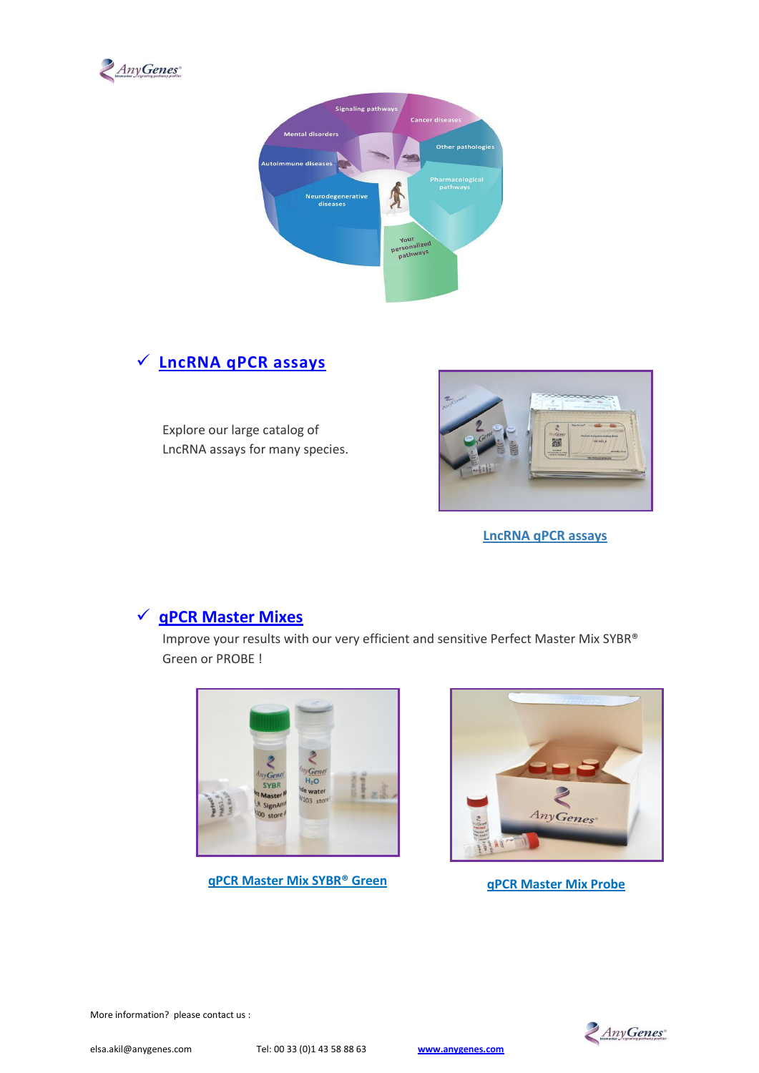



### **[LncRNA qPCR assays](https://www.anygenes.com/home/products/lncrna-qpcr-assays)**

Explore our large catalog of LncRNA assays for many species.



**[LncRNA qPCR assays](https://www.anygenes.com/home/products/lncrna-qpcr-assays)**

### **[qPCR Master Mixes](https://www.anygenes.com/home/products/qpcr-master-mixes)**

Improve your results with our very efficient and sensitive Perfect Master Mix SYBR® Green or PROBE !







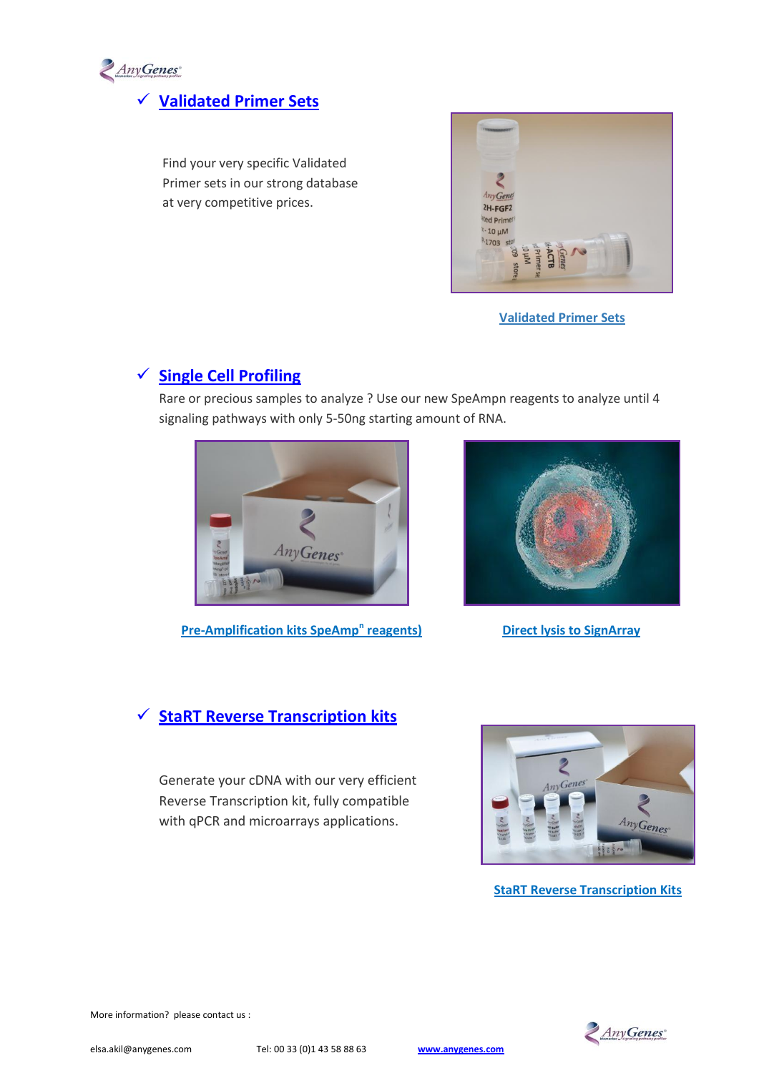

# **[Validated Primer Sets](https://www.anygenes.com/home/products/validated-primer-sets)**

Find your very specific Validated Primer sets in our strong database at very competitive prices.



**[Validated Primer Sets](https://www.anygenes.com/home/products/validated-primer-sets)**

### **[Single Cell Profiling](https://www.anygenes.com/home/products/single-cell-profiling)**

Rare or precious samples to analyze ? Use our new SpeAmpn reagents to analyze until 4 signaling pathways with only 5-50ng starting amount of RNA.



**[Pre-Amplification kits SpeAmp](https://www.anygenes.com/home/products/single-cell-profiling/pre-amplification)<sup>n</sup> reagents)** 



**[Direct lysis to SignArray](https://www.anygenes.com/home/products/single-cell-profiling/direct-lysis)** 

### **[StaRT Reverse Transcription](https://www.anygenes.com/home/products/start-reverse-transcritpion-kits) kits**

Generate your cDNA with our very efficient Reverse Transcription kit, fully compatible with qPCR and microarrays applications.



**[StaRT Reverse Transcription Kits](https://www.anygenes.com/home/products/start-reverse-transcritpion-kits)**